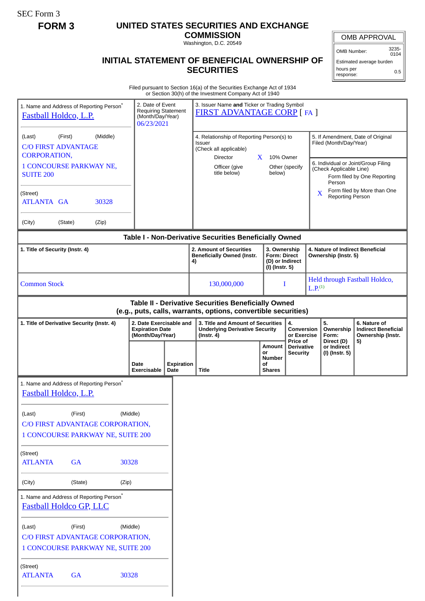SEC Form 3

## **FORM 3 UNITED STATES SECURITIES AND EXCHANGE**

**COMMISSION** Washington, D.C. 20549

## **INITIAL STATEMENT OF BENEFICIAL OWNERSHIP OF SECURITIES**

OMB APPROVAL

OMB Number: 3235- 0104

Estimated average burden hours per response: 0.5

Filed pursuant to Section 16(a) of the Securities Exchange Act of 1934 or Section 30(h) of the Investment Company Act of 1940

| 1. Name and Address of Reporting Person <sup>®</sup><br>Fastball Holdco, L.P.                                         |           |                                  | 2. Date of Event<br><b>Requiring Statement</b><br>(Month/Day/Year)<br>06/23/2021 |                           | or Scenon Soft) or the investment Company Act or 1940<br>3. Issuer Name and Ticker or Trading Symbol<br>FIRST ADVANTAGE CORP [ FA ] |                                                                                                                  |                                                                          |                                             |                                                          |   |                                                                                                                               |                                                                       |  |
|-----------------------------------------------------------------------------------------------------------------------|-----------|----------------------------------|----------------------------------------------------------------------------------|---------------------------|-------------------------------------------------------------------------------------------------------------------------------------|------------------------------------------------------------------------------------------------------------------|--------------------------------------------------------------------------|---------------------------------------------|----------------------------------------------------------|---|-------------------------------------------------------------------------------------------------------------------------------|-----------------------------------------------------------------------|--|
| (Middle)<br>(First)<br>(Last)<br><b>C/O FIRST ADVANTAGE</b><br><b>CORPORATION,</b><br><b>1 CONCOURSE PARKWAY NE,</b>  |           |                                  |                                                                                  |                           |                                                                                                                                     | 4. Relationship of Reporting Person(s) to<br>Issuer<br>(Check all applicable)<br>Director<br>X.<br>Officer (give |                                                                          |                                             | 10% Owner<br>Other (specify                              |   | 5. If Amendment, Date of Original<br>Filed (Month/Day/Year)<br>6. Individual or Joint/Group Filing<br>(Check Applicable Line) |                                                                       |  |
| <b>SUITE 200</b>                                                                                                      |           |                                  |                                                                                  |                           |                                                                                                                                     | title below)                                                                                                     |                                                                          | below)                                      |                                                          |   | Person                                                                                                                        | Form filed by One Reporting<br>Form filed by More than One            |  |
| (Street)<br><b>ATLANTA GA</b>                                                                                         |           | 30328                            |                                                                                  |                           |                                                                                                                                     |                                                                                                                  |                                                                          |                                             |                                                          | X | <b>Reporting Person</b>                                                                                                       |                                                                       |  |
| (City)                                                                                                                | (State)   | (Zip)                            |                                                                                  |                           |                                                                                                                                     |                                                                                                                  |                                                                          |                                             |                                                          |   |                                                                                                                               |                                                                       |  |
| Table I - Non-Derivative Securities Beneficially Owned                                                                |           |                                  |                                                                                  |                           |                                                                                                                                     |                                                                                                                  |                                                                          |                                             |                                                          |   |                                                                                                                               |                                                                       |  |
| 1. Title of Security (Instr. 4)                                                                                       |           |                                  |                                                                                  | 4)                        | 2. Amount of Securities<br><b>Beneficially Owned (Instr.</b>                                                                        |                                                                                                                  | 3. Ownership<br><b>Form: Direct</b><br>(D) or Indirect<br>(I) (Instr. 5) |                                             | 4. Nature of Indirect Beneficial<br>Ownership (Instr. 5) |   |                                                                                                                               |                                                                       |  |
| <b>Common Stock</b>                                                                                                   |           |                                  |                                                                                  |                           | 130,000,000                                                                                                                         |                                                                                                                  | I                                                                        |                                             | Held through Fastball Holdco,<br>L.P <sub>1</sub> (1)    |   |                                                                                                                               |                                                                       |  |
| Table II - Derivative Securities Beneficially Owned<br>(e.g., puts, calls, warrants, options, convertible securities) |           |                                  |                                                                                  |                           |                                                                                                                                     |                                                                                                                  |                                                                          |                                             |                                                          |   |                                                                                                                               |                                                                       |  |
| 1. Title of Derivative Security (Instr. 4)                                                                            |           |                                  | 2. Date Exercisable and<br><b>Expiration Date</b><br>(Month/Day/Year)            |                           | 3. Title and Amount of Securities<br><b>Underlying Derivative Security</b><br>$($ Instr. 4 $)$                                      |                                                                                                                  |                                                                          | 4.<br>Conversion<br>or Exercise<br>Price of |                                                          |   | 5.<br>Ownership<br>Form:<br>Direct (D)                                                                                        | 6. Nature of<br><b>Indirect Beneficial</b><br>Ownership (Instr.<br>5) |  |
|                                                                                                                       |           |                                  | Date<br>Exercisable                                                              | <b>Expiration</b><br>Date | Title                                                                                                                               |                                                                                                                  | or<br>οf                                                                 | Amount<br>Number<br><b>Shares</b>           | Derivative<br><b>Security</b>                            |   | or Indirect<br>(I) (Instr. 5)                                                                                                 |                                                                       |  |
| 1. Name and Address of Reporting Person*<br><b>Fastball Holdco, L.P.</b>                                              |           |                                  |                                                                                  |                           |                                                                                                                                     |                                                                                                                  |                                                                          |                                             |                                                          |   |                                                                                                                               |                                                                       |  |
| (Last)                                                                                                                | (First)   | C/O FIRST ADVANTAGE CORPORATION, | (Middle)                                                                         |                           |                                                                                                                                     |                                                                                                                  |                                                                          |                                             |                                                          |   |                                                                                                                               |                                                                       |  |
| 1 CONCOURSE PARKWAY NE, SUITE 200                                                                                     |           |                                  |                                                                                  |                           |                                                                                                                                     |                                                                                                                  |                                                                          |                                             |                                                          |   |                                                                                                                               |                                                                       |  |
| (Street)<br><b>ATLANTA</b>                                                                                            | <b>GA</b> |                                  | 30328                                                                            |                           |                                                                                                                                     |                                                                                                                  |                                                                          |                                             |                                                          |   |                                                                                                                               |                                                                       |  |
| (City)                                                                                                                | (State)   | (Zip)                            |                                                                                  |                           |                                                                                                                                     |                                                                                                                  |                                                                          |                                             |                                                          |   |                                                                                                                               |                                                                       |  |
| 1. Name and Address of Reporting Person <sup>*</sup><br><b>Fastball Holdco GP, LLC</b>                                |           |                                  |                                                                                  |                           |                                                                                                                                     |                                                                                                                  |                                                                          |                                             |                                                          |   |                                                                                                                               |                                                                       |  |
| (First)<br>(Middle)<br>(Last)<br>C/O FIRST ADVANTAGE CORPORATION,<br>1 CONCOURSE PARKWAY NE, SUITE 200                |           |                                  |                                                                                  |                           |                                                                                                                                     |                                                                                                                  |                                                                          |                                             |                                                          |   |                                                                                                                               |                                                                       |  |
| (Street)<br><b>ATLANTA</b>                                                                                            | GA        |                                  | 30328                                                                            |                           |                                                                                                                                     |                                                                                                                  |                                                                          |                                             |                                                          |   |                                                                                                                               |                                                                       |  |